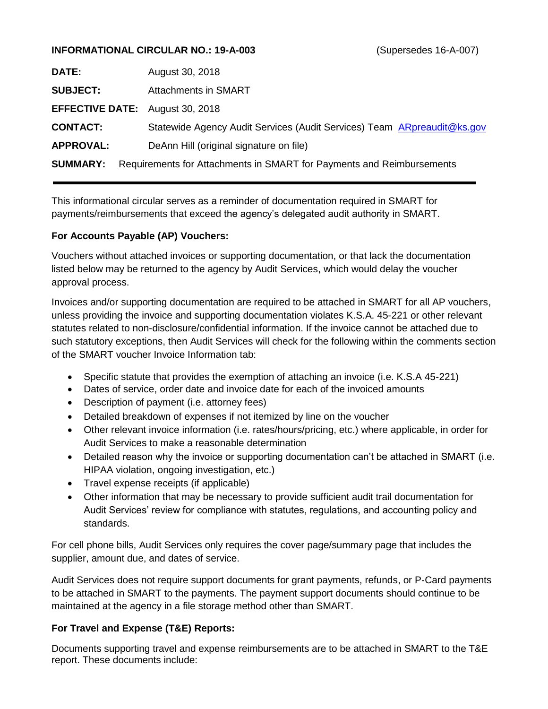#### **INFORMATIONAL CIRCULAR NO.: 19-A-003** (Supersedes 16-A-007)

| <b>DATE:</b>                           | August 30, 2018                                                         |
|----------------------------------------|-------------------------------------------------------------------------|
| <b>SUBJECT:</b>                        | Attachments in SMART                                                    |
| <b>EFFECTIVE DATE:</b> August 30, 2018 |                                                                         |
| <b>CONTACT:</b>                        | Statewide Agency Audit Services (Audit Services) Team ARpreaudit@ks.gov |
| <b>APPROVAL:</b>                       | DeAnn Hill (original signature on file)                                 |
| <b>SUMMARY:</b>                        | Requirements for Attachments in SMART for Payments and Reimbursements   |

This informational circular serves as a reminder of documentation required in SMART for payments/reimbursements that exceed the agency's delegated audit authority in SMART.

### **For Accounts Payable (AP) Vouchers:**

Vouchers without attached invoices or supporting documentation, or that lack the documentation listed below may be returned to the agency by Audit Services, which would delay the voucher approval process.

Invoices and/or supporting documentation are required to be attached in SMART for all AP vouchers, unless providing the invoice and supporting documentation violates K.S.A. 45-221 or other relevant statutes related to non-disclosure/confidential information. If the invoice cannot be attached due to such statutory exceptions, then Audit Services will check for the following within the comments section of the SMART voucher Invoice Information tab:

- Specific statute that provides the exemption of attaching an invoice (i.e. K.S.A 45-221)
- Dates of service, order date and invoice date for each of the invoiced amounts
- Description of payment (i.e. attorney fees)
- Detailed breakdown of expenses if not itemized by line on the voucher
- Other relevant invoice information (i.e. rates/hours/pricing, etc.) where applicable, in order for Audit Services to make a reasonable determination
- Detailed reason why the invoice or supporting documentation can't be attached in SMART (i.e. HIPAA violation, ongoing investigation, etc.)
- Travel expense receipts (if applicable)
- Other information that may be necessary to provide sufficient audit trail documentation for Audit Services' review for compliance with statutes, regulations, and accounting policy and standards.

For cell phone bills, Audit Services only requires the cover page/summary page that includes the supplier, amount due, and dates of service.

Audit Services does not require support documents for grant payments, refunds, or P-Card payments to be attached in SMART to the payments. The payment support documents should continue to be maintained at the agency in a file storage method other than SMART.

### **For Travel and Expense (T&E) Reports:**

Documents supporting travel and expense reimbursements are to be attached in SMART to the T&E report. These documents include: